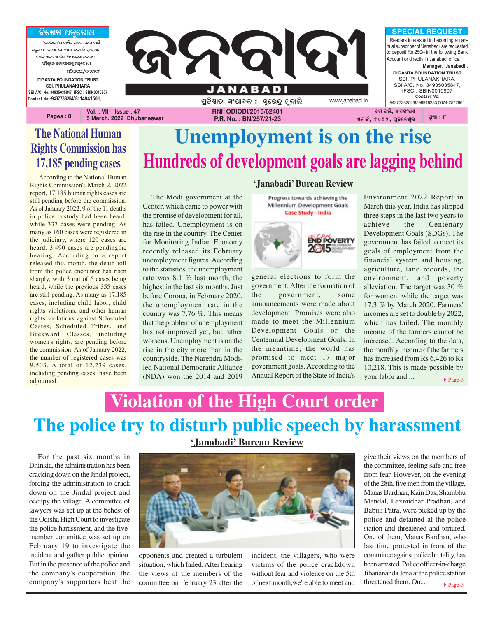<u>ବିଶେଷ ଅନୁରୋଧ</u>

**'ଜନବାଦୀ'ର ବାର୍ଷିକ ଗ୍ରାହକ ହେବା ପାଇଁ AzêK \_ûVK-\_ûVòKû 250 Uuû ^òùcÜûq @ûc** ,<br>ବ୍ୟାଙ୍ଗ ଏଲାରଣ୍ଡ ଲିଗା **ପିଧା**ପଲଖ କନ୍ଦରାରୀ **@`òi¨ùe Rcûù\aûKê @^êùeû]ö** ପରିଚାଳକ**,**'ଜନବାଦୀ' **DIGANTA FOUNDATION TRUST SBI, PHULANAKHARA SBI A/C. No. 34935035847, IFSC : SBIN0010907 Contact No.:9437738254/ 8114941501,**

**Pages : 8**



### **The National Human Rights Commission has 17,185 pending cases**

According to the National Human Rights Commission's March 2, 2022 report, 17,185 human rights cases are still pending before the commission. As of January 2022, 9 of the 11 deaths in police custody had been heard, while 337 cases were pending. As many as 160 cases were registered in the judiciary, where 120 cases are heard. 3,490 cases are pendingthe hearing. According to a report released this month, the death toll from the police encounter has risen sharply, with 3 out of 6 cases being heard, while the previous 355 cases are still pending. As many as 17,185 cases, including child labor, child rights violations, and other human rights violations against Scheduled Castes, Scheduled Tribes, and Backward Classes, including women's rights, are pending before the commission. As of January 2022, the number of registered cases was 9,503. A total of 12,239 cases, including pending cases, have been adjourned.

The Modi government at the Center, which came to power with the promise of development for all, has failed. Unemployment is on the rise in the country. The Center for Monitoring Indian Economy recently released its February unemployment figures. According to the statistics, the unemployment rate was 8.1 % last month, the highest in the last six months. Just before Corona, in February 2020, the unemployment rate in the country was 7.76 %. This means that the problem of unemployment has not improved yet, but rather worsens. Unemployment is on the rise in the city more than in the countryside. The Narendra Modiled National Democratic Alliance (NDA) won the 2014 and 2019

#### **'Janabadi' Bureau Review**

**Unemployment is on the rise**

**Hundreds of development goals are lagging behind**

Progress towards achieving the Millennium Development Goals **Case Study - India** 



general elections to form the government. After the formation of the government, some announcements were made about development. Promises were also made to meet the Millennium Development Goals or the Centennial Development Goals. In the meantime, the world has promised to meet 17 major government goals. According to the Annual Report of the State of India's

Environment 2022 Report in March this year, India has slipped three steps in the last two years to achieve the Centenary Development Goals (SDGs). The government has failed to meet its goals of employment from the financial system and housing, agriculture, land records, the environment, and poverty alleviation. The target was 30 % for women, while the target was 17.3 % by March 2020. Farmers' incomes are set to double by 2022, which has failed. The monthly income of the farmers cannot be increased. According to the data, the monthly income of the farmers has increased from Rs 6,426 to Rs 10,218. This is made possible by your labor and ... ▶ Page-3

## **The police try to disturb public speech by harassment Violation of the High Court order**

For the past six months in Dhinkia, the administration has been cracking down on the Jindal project, forcing the administration to crack down on the Jindal project and occupy the village. A committee of lawyers was set up at the behest of the Odisha High Court to investigate the police harassment, and the fivemember committee was set up on February 19 to investigate the incident and gather public opinion. But in the presence of the police and the company's cooperation, the company's supporters beat the

**'Janabadi' Bureau Review**



opponents and created a turbulent situation, which failed. After hearing the views of the members of the committee on February 23 after the

incident, the villagers, who were victims of the police crackdown without fear and violence on the 5th of next month,we're able to meet and

 $\blacktriangleright$  Page-3  $\frac{2}{3}$  police and detained at the police give their views on the members of the committee, feeling safe and free from fear. However, on the evening of the 28th, five men from the village, Manas Bardhan, Kain Das, Shambhu Mandal, Laxmidhar Pradhan, and Babuli Patra, were picked up by the station and threatened and tortured. One of them, Manas Bardhan, who last time protested in front of the committee against police brutality, has been arrested. Police officer-in-charge Jibanananda Jena at the police station threatened them. On....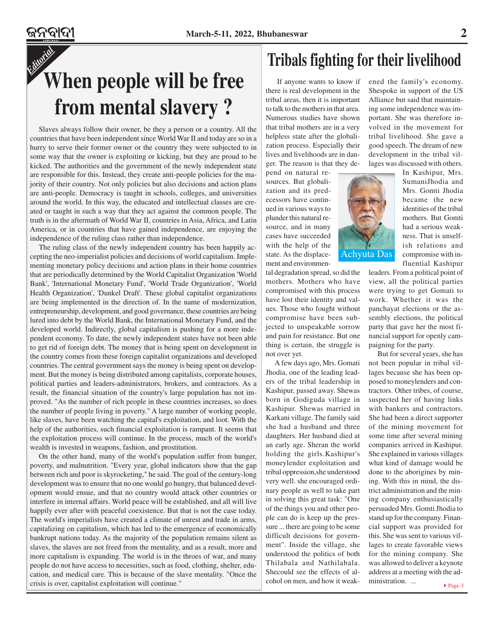## *Editorial* **When people will be free from mental slavery ?**

Slaves always follow their owner, be they a person or a country. All the countries that have been independent since World War II and today are so in a hurry to serve their former owner or the country they were subjected to in some way that the owner is exploiting or kicking, but they are proud to be kicked. The authorities and the government of the newly independent state are responsible for this. Instead, they create anti-people policies for the majority of their country. Not only policies but also decisions and action plans are anti-people. Democracy is taught in schools, colleges, and universities around the world. In this way, the educated and intellectual classes are created or taught in such a way that they act against the common people. The truth is in the aftermath of World War II, countries in Asia, Africa, and Latin America, or in countries that have gained independence, are enjoying the independence of the ruling class rather than independence.

The ruling class of the newly independent country has been happily accepting the neo-imperialist policies and decisions of world capitalism. Implementing monetary policy decisions and action plans in their home countries that are periodically determined by the World Capitalist Organization 'World Bank', 'International Monetary Fund', 'World Trade Organization', 'World Health Organization', 'Dunkel Draft'. These global capitalist organizations are being implemented in the direction of. In the name of modernization, entrepreneurship, development, and good governance, these countries are being lured into debt by the World Bank, the International Monetary Fund, and the developed world. Indirectly, global capitalism is pushing for a more independent economy. To date, the newly independent states have not been able to get rid of foreign debt. The money that is being spent on development in the country comes from these foreign capitalist organizations and developed countries. The central government says the money is being spent on development. But the money is being distributed among capitalists, corporate houses, political parties and leaders-administrators, brokers, and contractors. As a result, the financial situation of the country's large population has not improved. "As the number of rich people in these countries increases, so does the number of people living in poverty." A large number of working people, like slaves, have been watching the capital's exploitation, and loot. With the help of the authorities, such financial exploitation is rampant. It seems that the exploitation process will continue. In the process, much of the world's wealth is invested in weapons, fashion, and prostitution.

On the other hand, many of the world's population suffer from hunger, poverty, and malnutrition. "Every year, global indicators show that the gap between rich and poor is skyrocketing," he said. The goal of the century-long development was to ensure that no one would go hungry, that balanced development would ensue, and that no country would attack other countries or interfere in internal affairs. World peace will be established, and all will live happily ever after with peaceful coexistence. But that is not the case today. The world's imperialists have created a climate of unrest and trade in arms, capitalizing on capitalism, which has led to the emergence of economically bankrupt nations today. As the majority of the population remains silent as slaves, the slaves are not freed from the mentality, and as a result, more and more capitalism is expanding. The world is in the throes of war, and many people do not have access to necessities, such as food, clothing, shelter, education, and medical care. This is because of the slave mentality. "Once the crisis is over, capitalist exploitation will continue." Cohol on men, and how it weak- ministration. ...

### **Tribals fighting for their livelihood**

 If anyone wants to know if there is real development in the tribal areas, then it is important to talk to the mothers in that area. Numerous studies have shown that tribal mothers are in a very helpless state after the globalization process. Especially their lives and livelihoods are in danger. The reason is that they de-

pend on natural resources. But globalization and its predecessors have continued in various ways to plunder this natural resource, and in many cases have succeeded with the help of the state. As the displacement and environmen-

tal degradation spread, so did the mothers. Mothers who have compromised with this process have lost their identity and values. Those who fought without compromise have been subjected to unspeakable sorrow and pain for resistance. But one thing is certain, the struggle is not over yet.

A few days ago, Mrs. Gomati Jhodia, one of the leading leaders of the tribal leadership in Kashipur, passed away. Shewas born in Godiguda village in Kashipur. Shewas married in Karkani village. The family said she had a husband and three daughters. Her husband died at an early age. Sheran the world holding the girls.Kashipur's moneylender exploitation and tribal oppression,she understood very well. she encouraged ordinary people as well to take part in solving this great task: "One of the things you and other people can do is keep up the pressure ... there are going to be some difficult decisions for government". Inside the village, she understood the politics of both Thilabala and Nathilabala. Shecould see the effects of alcohol on men, and how it weakened the family's economy. Shespoke in support of the US Alliance but said that maintaining some independence was important. She was therefore involved in the movement for tribal livelihood. She gave a good speech. The dream of new development in the tribal villages was discussed with others.

Achyuta Das

In Kashipur, Mrs. SumaniJhodia and Mrs. Gomti Jhodia became the new identities of the tribal mothers. But Gomti had a serious weakness. That is unselfish relations and compromise with influential Kashipur

leaders. From a political point of view, all the political parties were trying to get Gomati to work. Whether it was the panchayat elections or the assembly elections, the political party that gave her the most financial support for openly campaigning for the party.

But for several years, she has not been popular in tribal villages because she has been opposed to moneylenders and contractors. Other tribes, of course, suspected her of having links with bankers and contractors. She had been a direct supporter of the mining movement for some time after several mining companies arrived in Kashipur. She explained in various villages what kind of damage would be done to the aborigines by mining. With this in mind, the district administration and the mining company enthusiastically persuaded Mrs. Gomti Jhodia to stand up for the company. Financial support was provided for this. She was sent to various villages to create favorable views for the mining company. She was allowed to deliver a keynote address at a meeting with the administration. ...

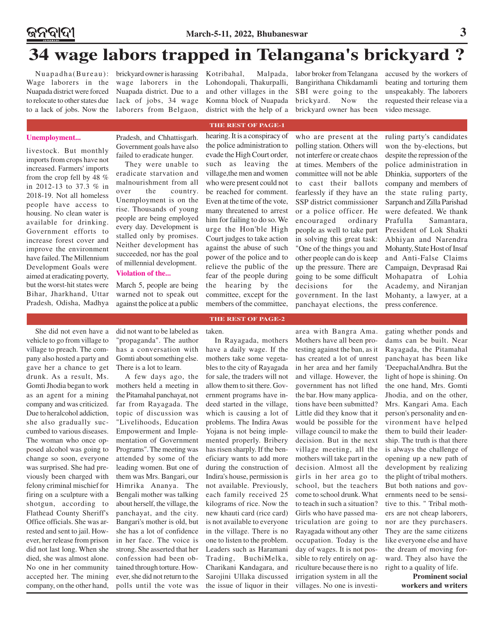### **34 wage labors trapped in Telangana's brickyard ?**

Wage laborers in the Nuapada district were forced to relocate to other states due

Nuapadha(Bureau): brickyard owner is harassing to a lack of jobs. Now the laborers from Belgaon, wage laborers in the Nuapada district. Due to a lack of jobs, 34 wage Kotribahal, Malpada, Lohondopali, Thakurpalli, and other villages in the Komna block of Nuapada district with the help of a labor broker from Telangana Bangirithana Chikdamamli SBI were going to the brickyard. Now the brickyard owner has been

accused by the workers of beating and torturing them unspeakably. The laborers requested their release via a video message.

#### **THE REST OF PAGE-1**

hearing. It is a conspiracy of

### **Unemployment...**

livestock. But monthly imports from crops have not increased. Farmers' imports from the crop fell by 48 % in 2012-13 to 37.3 % in 2018-19. Not all homeless people have access to housing. No clean water is available for drinking. Government efforts to increase forest cover and improve the environment have failed. The Millennium Development Goals were aimed at eradicating poverty, but the worst-hit states were Bihar, Jharkhand, Uttar Pradesh, Odisha, Madhya

Pradesh, and Chhattisgarh. Government goals have also failed to eradicate hunger. They were unable to

eradicate starvation and malnourishment from all over the country. Unemployment is on the rise. Thousands of young people are being employed every day. Development is stalled only by promises. Neither development has succeeded, nor has the goal of millennial development.

#### **Violation of the...**

March 5, people are being warned not to speak out against the police at a public

the police administration to evade the High Court order, such as leaving the village,the men and women who were present could not be reached for comment. Even at the time of the vote, many threatened to arrest him for failing to do so. We urge the Hon'ble High Court judges to take action against the abuse of such power of the police and to relieve the public of the fear of the people during the hearing by the committee, except for the members of the committee,

**THE REST OF PAGE-2**

who are present at the polling station. Others will not interfere or create chaos at times. Members of the committee will not be able to cast their ballots fearlessly if they have an SSP district commissioner or a police officer. He encouraged ordinary people as well to take part in solving this great task: "One of the things you and other people can do is keep up the pressure. There are going to be some difficult decisions for the government. In the last panchayat elections, the

ruling party's candidates won the by-elections, but despite the repression of the police administration in Dhinkia, supporters of the company and members of the state ruling party, Sarpanch and Zilla Parishad were defeated. We thank Prafulla Samantara, President of Lok Shakti Abhiyan and Narendra Mohanty, State Host of Insaf and Anti-False Claims Campaign, Devprasad Rai Mohapatra of Lohia Academy, and Niranjan Mohanty, a lawyer, at a press conference.

She did not even have a vehicle to go from village to village to preach. The company also hosted a party and gave her a chance to get drunk. As a result, Ms. Gomti Jhodia began to work as an agent for a mining company and was criticized. Due to heralcohol addiction, she also gradually succumbed to various diseases. The woman who once opposed alcohol was going to change so soon, everyone was surprised. She had previously been charged with felony criminal mischief for firing on a sculpture with a shotgun, according to Flathead County Sheriff's Office officials. She was arrested and sent to jail. However, her release from prison did not last long. When she died, she was almost alone. No one in her community accepted her. The mining company, on the other hand,

did not want to be labeled as "propaganda". The author has a conversation with Gomti about something else. There is a lot to learn.

A few days ago, the mothers held a meeting in the Pitamahal panchayat, not far from Rayagada. The topic of discussion was "Livelihoods, Education Empowerment and Implementation of Government Programs". The meeting was attended by some of the leading women. But one of them was Mrs. Bangari, our Himrika Ananya. The Bengali mother was talking about herself, the village, the panchayat, and the city. Bangari's mother is old, but she has a lot of confidence in her face. The voice is strong. She asserted that her confession had been obtained through torture. However, she did not return to the polls until the vote was

#### taken.

In Rayagada, mothers have a daily wage. If the mothers take some vegetables to the city of Rayagada for sale, the traders will not allow them to sit there. Government programs have indeed started in the village, which is causing a lot of problems. The Indira Awas Yojana is not being implemented properly. Bribery has risen sharply. If the beneficiary wants to add more during the construction of Indira's house, permission is not available. Previously, each family received 25 kilograms of rice. Now the new khauti card (rice card) is not available to everyone in the village. There is no one to listen to the problem. Leaders such as Haramani Trading, BuchiMelka, Charikani Kandagara, and Sarojini Ullaka discussed the issue of liquor in their

area with Bangra Ama. Mothers have all been protesting against the ban, as it has created a lot of unrest in her area and her family and village. However, the government has not lifted the bar. How many applications have been submitted? Little did they know that it would be possible for the village council to make the decision. But in the next village meeting, all the mothers will take part in the decision. Almost all the girls in her area go to school, but the teachers come to school drunk. What to teach in such a situation? Girls who have passed matriculation are going to Rayagada without any other occupation. Today is the day of wages. It is not possible to rely entirely on agriculture because there is no irrigation system in all the villages. No one is investigating whether ponds and dams can be built. Near Rayagada, the Pitamahal panchayat has been like 'DeepachalAndhra. But the light of hope is shining. On the one hand, Mrs. Gomti Jhodia, and on the other, Mrs. Kangari Ama. Each person's personality and environment have helped them to build their leadership. The truth is that there is always the challenge of opening up a new path of development by realizing the plight of tribal mothers. But both nations and governments need to be sensitive to this. " Tribal mothers are not cheap laborers, nor are they purchasers. They are the same citizens like everyone else and have the dream of moving forward. They also have the right to a quality of life.

> **Prominent social workers and writers**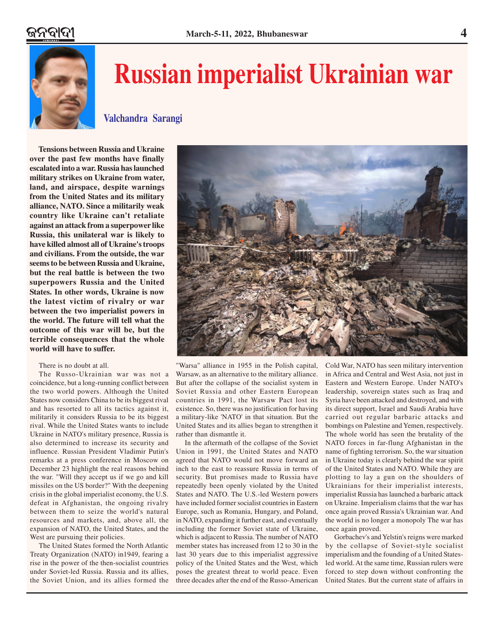

# **Russian imperialist Ukrainian war**

**Valchandra Sarangi**

**Tensions between Russia and Ukraine over the past few months have finally escalated into a war. Russia has launched military strikes on Ukraine from water, land, and airspace, despite warnings from the United States and its military alliance, NATO. Since a militarily weak country like Ukraine can't retaliate against an attack from a superpower like Russia, this unilateral war is likely to have killed almost all of Ukraine's troops and civilians. From the outside, the war seems to be between Russia and Ukraine, but the real battle is between the two superpowers Russia and the United States. In other words, Ukraine is now the latest victim of rivalry or war between the two imperialist powers in the world. The future will tell what the outcome of this war will be, but the terrible consequences that the whole world will have to suffer.**

#### There is no doubt at all.

The Russo-Ukrainian war was not a coincidence, but a long-running conflict between the two world powers. Although the United States now considers China to be its biggest rival and has resorted to all its tactics against it, militarily it considers Russia to be its biggest rival. While the United States wants to include Ukraine in NATO's military presence, Russia is also determined to increase its security and influence. Russian President Vladimir Putin's remarks at a press conference in Moscow on December 23 highlight the real reasons behind the war. "Will they accept us if we go and kill missiles on the US border?" With the deepening crisis in the global imperialist economy, the U.S. defeat in Afghanistan, the ongoing rivalry between them to seize the world's natural resources and markets, and, above all, the expansion of NATO, the United States, and the West are pursuing their policies.

The United States formed the North Atlantic Treaty Organization (NATO) in1949, fearing a rise in the power of the then-socialist countries under Soviet-led Russia. Russia and its allies, the Soviet Union, and its allies formed the



"Warsa" alliance in 1955 in the Polish capital, Warsaw, as an alternative to the military alliance. But after the collapse of the socialist system in Soviet Russia and other Eastern European countries in 1991, the Warsaw Pact lost its existence. So, there was no justification for having a military-like 'NATO' in that situation. But the United States and its allies began to strengthen it rather than dismantle it.

In the aftermath of the collapse of the Soviet Union in 1991, the United States and NATO agreed that NATO would not move forward an inch to the east to reassure Russia in terms of security. But promises made to Russia have repeatedly been openly violated by the United States and NATO. The U.S.-led Western powers have included former socialist countries in Eastern Europe, such as Romania, Hungary, and Poland, in NATO, expanding it further east, and eventually including the former Soviet state of Ukraine, which is adjacent to Russia. The number of NATO member states has increased from 12 to 30 in the last 30 years due to this imperialist aggressive policy of the United States and the West, which poses the greatest threat to world peace. Even three decades after the end of the Russo-American

Cold War, NATO has seen military intervention in Africa and Central and West Asia, not just in Eastern and Western Europe. Under NATO's leadership, sovereign states such as Iraq and Syria have been attacked and destroyed, and with its direct support, Israel and Saudi Arabia have carried out regular barbaric attacks and bombings on Palestine and Yemen, respectively. The whole world has seen the brutality of the NATO forces in far-flung Afghanistan in the name of fighting terrorism. So, the war situation in Ukraine today is clearly behind the war spirit of the United States and NATO. While they are plotting to lay a gun on the shoulders of Ukrainians for their imperialist interests, imperialist Russia has launched a barbaric attack on Ukraine. Imperialism claims that the war has once again proved Russia's Ukrainian war. And the world is no longer a monopoly The war has once again proved.

Gorbachev's and Yelstin's reigns were marked by the collapse of Soviet-style socialist imperialism and the founding of a United Statesled world. At the same time, Russian rulers were forced to step down without confronting the United States. But the current state of affairs in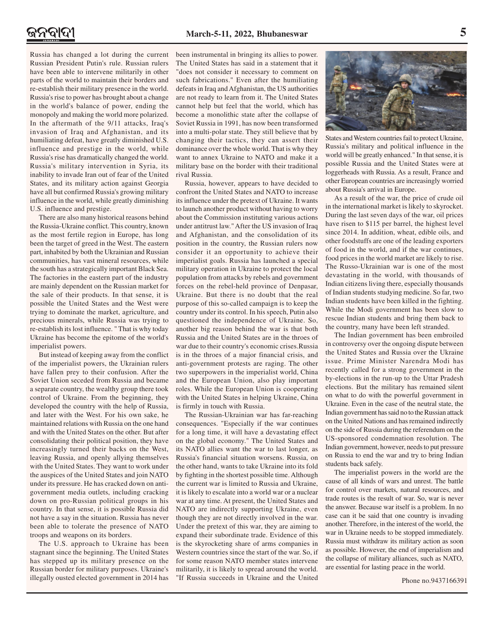Russia has changed a lot during the current Russian President Putin's rule. Russian rulers have been able to intervene militarily in other parts of the world to maintain their borders and re-establish their military presence in the world. Russia's rise to power has brought about a change in the world's balance of power, ending the monopoly and making the world more polarized. In the aftermath of the 9/11 attacks, Iraq's invasion of Iraq and Afghanistan, and its humiliating defeat, have greatly diminished U.S. influence and prestige in the world, while Russia's rise has dramatically changed the world. Russia's military intervention in Syria, its inability to invade Iran out of fear of the United States, and its military action against Georgia have all but confirmed Russia's growing military influence in the world, while greatly diminishing U.S. influence and prestige.

There are also many historical reasons behind the Russia-Ukraine conflict. This country, known as the most fertile region in Europe, has long been the target of greed in the West. The eastern part, inhabited by both the Ukrainian and Russian communities, has vast mineral resources, while the south has a strategically important Black Sea. The factories in the eastern part of the industry are mainly dependent on the Russian market for the sale of their products. In that sense, it is possible the United States and the West were trying to dominate the market, agriculture, and precious minerals, while Russia was trying to re-establish its lost influence. " That is why today Ukraine has become the epitome of the world's imperialist powers.

But instead of keeping away from the conflict of the imperialist powers, the Ukrainian rulers have fallen prey to their confusion. After the Soviet Union seceded from Russia and became a separate country, the wealthy group there took control of Ukraine. From the beginning, they developed the country with the help of Russia, and later with the West. For his own sake, he maintained relations with Russia on the one hand and with the United States on the other. But after consolidating their political position, they have increasingly turned their backs on the West, leaving Russia, and openly allying themselves with the United States. They want to work under the auspices of the United States and join NATO under its pressure. He has cracked down on antigovernment media outlets, including cracking down on pro-Russian political groups in his country. In that sense, it is possible Russia did not have a say in the situation. Russia has never been able to tolerate the presence of NATO troops and weapons on its borders.

The U.S. approach to Ukraine has been stagnant since the beginning. The United States has stepped up its military presence on the Russian border for military purposes. Ukraine's illegally ousted elected government in 2014 has

been instrumental in bringing its allies to power. The United States has said in a statement that it "does not consider it necessary to comment on such fabrications." Even after the humiliating defeats in Iraq and Afghanistan, the US authorities are not ready to learn from it. The United States cannot help but feel that the world, which has become a monolithic state after the collapse of Soviet Russia in 1991, has now been transformed into a multi-polar state. They still believe that by changing their tactics, they can assert their dominance over the whole world. That is why they want to annex Ukraine to NATO and make it a military base on the border with their traditional rival Russia.

Russia, however, appears to have decided to confront the United States and NATO to increase its influence under the pretext of Ukraine. It wants to launch another product without having to worry about the Commission instituting various actions under antitrust law." After the US invasion of Iraq and Afghanistan, and the consolidation of its position in the country, the Russian rulers now consider it an opportunity to achieve their imperialist goals. Russia has launched a special military operation in Ukraine to protect the local population from attacks by rebels and government forces on the rebel-held province of Denpasar, Ukraine. But there is no doubt that the real purpose of this so-called campaign is to keep the country under its control. In his speech, Putin also questioned the independence of Ukraine. So, another big reason behind the war is that both Russia and the United States are in the throes of war due to their country's economic crises.Russia is in the throes of a major financial crisis, and anti-government protests are raging. The other two superpowers in the imperialist world, China and the European Union, also play important roles. While the European Union is cooperating with the United States in helping Ukraine, China is firmly in touch with Russia.

The Russian-Ukrainian war has far-reaching consequences. "Especially if the war continues for a long time, it will have a devastating effect on the global economy." The United States and its NATO allies want the war to last longer, as Russia's financial situation worsens. Russia, on the other hand, wants to take Ukraine into its fold by fighting in the shortest possible time. Although the current war is limited to Russia and Ukraine, it is likely to escalate into a world war or a nuclear war at any time. At present, the United States and NATO are indirectly supporting Ukraine, even though they are not directly involved in the war. Under the pretext of this war, they are aiming to expand their subordinate trade. Evidence of this is the skyrocketing share of arms companies in Western countries since the start of the war. So, if for some reason NATO member states intervene militarily, it is likely to spread around the world. "If Russia succeeds in Ukraine and the United



States and Western countries fail to protect Ukraine, Russia's military and political influence in the world will be greatly enhanced." In that sense, it is possible Russia and the United States were at loggerheads with Russia. As a result, France and other European countries are increasingly worried about Russia's arrival in Europe.

As a result of the war, the price of crude oil in the international market is likely to skyrocket. During the last seven days of the war, oil prices have risen to \$115 per barrel, the highest level since 2014. In addition, wheat, edible oils, and other foodstuffs are one of the leading exporters of food in the world, and if the war continues, food prices in the world market are likely to rise. The Russo-Ukrainian war is one of the most devastating in the world, with thousands of Indian citizens living there, especially thousands of Indian students studying medicine. So far, two Indian students have been killed in the fighting. While the Modi government has been slow to rescue Indian students and bring them back to the country, many have been left stranded.

The Indian government has been embroiled in controversy over the ongoing dispute between the United States and Russia over the Ukraine issue. Prime Minister Narendra Modi has recently called for a strong government in the by-elections in the run-up to the Uttar Pradesh elections. But the military has remained silent on what to do with the powerful government in Ukraine. Even in the case of the neutral state, the Indian government has said no to the Russian attack on the United Nations and has remained indirectly on the side of Russia during the referendum on the US-sponsored condemnation resolution. The Indian government, however, needs to put pressure on Russia to end the war and try to bring Indian students back safely.

The imperialist powers in the world are the cause of all kinds of wars and unrest. The battle for control over markets, natural resources, and trade routes is the result of war. So, war is never the answer. Because war itself is a problem. In no case can it be said that one country is invading another. Therefore, in the interest of the world, the war in Ukraine needs to be stopped immediately. Russia must withdraw its military action as soon as possible. However, the end of imperialism and the collapse of military alliances, such as NATO, are essential for lasting peace in the world.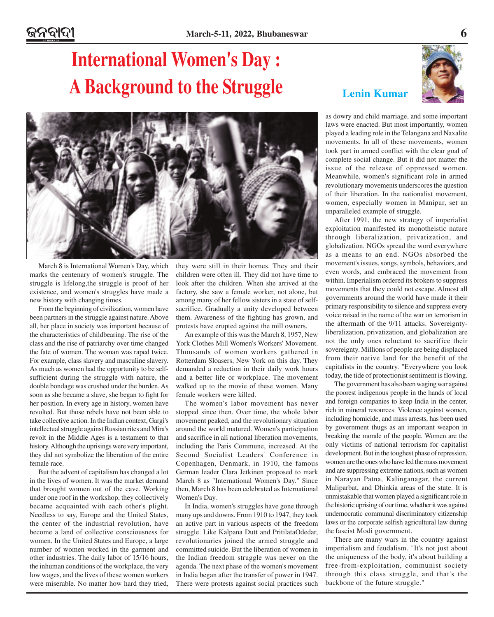## **International Women's Day : A Background to the Struggle**



March 8 is International Women's Day, which marks the centenary of women's struggle. The struggle is lifelong,the struggle is proof of her existence, and women's struggles have made a new history with changing times.

From the beginning of civilization, women have been partners in the struggle against nature. Above all, her place in society was important because of the characteristics of childbearing. The rise of the class and the rise of patriarchy over time changed the fate of women. The woman was raped twice. For example, class slavery and masculine slavery. As much as women had the opportunity to be selfsufficient during the struggle with nature, the double bondage was crushed under the burden. As soon as she became a slave, she began to fight for her position. In every age in history, women have revolted. But those rebels have not been able to take collective action. In the Indian context, Gargi's intellectual struggle against Russian rites and Mira's revolt in the Middle Ages is a testament to that history. Although the uprisings were very important, they did not symbolize the liberation of the entire female race.

But the advent of capitalism has changed a lot in the lives of women. It was the market demand that brought women out of the cave. Working under one roof in the workshop, they collectively became acquainted with each other's plight. Needless to say, Europe and the United States, the center of the industrial revolution, have become a land of collective consciousness for women. In the United States and Europe, a large number of women worked in the garment and other industries. The daily labor of 15/16 hours, the inhuman conditions of the workplace, the very low wages, and the lives of these women workers were miserable. No matter how hard they tried,

they were still in their homes. They and their children were often ill. They did not have time to look after the children. When she arrived at the factory, she saw a female worker, not alone, but among many of her fellow sisters in a state of selfsacrifice. Gradually a unity developed between them. Awareness of the fighting has grown, and protests have erupted against the mill owners.

An example of this was the March 8, 1957, New York Clothes Mill Women's Workers' Movement. Thousands of women workers gathered in Rotterdam Sloasers, New York on this day. They demanded a reduction in their daily work hours and a better life or workplace. The movement walked up to the movie of these women. Many female workers were killed.

The women's labor movement has never stopped since then. Over time, the whole labor movement peaked, and the revolutionary situation around the world matured. Women's participation and sacrifice in all national liberation movements, including the Paris Commune, increased. At the Second Socialist Leaders' Conference in Copenhagen, Denmark, in 1910, the famous German leader Clara Jetkinen proposed to mark March 8 as "International Women's Day." Since then, March 8 has been celebrated as International Women's Day.

In India, women's struggles have gone through many ups and downs. From 1910 to 1947, they took an active part in various aspects of the freedom struggle. Like Kalpana Dutt and PritilataOdedar, revolutionaries joined the armed struggle and committed suicide. But the liberation of women in the Indian freedom struggle was never on the agenda. The next phase of the women's movement in India began after the transfer of power in 1947. There were protests against social practices such

### **Lenin Kumar**



as dowry and child marriage, and some important laws were enacted. But most importantly, women played a leading role in the Telangana and Naxalite movements. In all of these movements, women took part in armed conflict with the clear goal of complete social change. But it did not matter the issue of the release of oppressed women. Meanwhile, women's significant role in armed revolutionary movements underscores the question of their liberation. In the nationalist movement, women, especially women in Manipur, set an unparalleled example of struggle.

After 1991, the new strategy of imperialist exploitation manifested its monotheistic nature through liberalization, privatization, and globalization. NGOs spread the word everywhere as a means to an end. NGOs absorbed the movement's issues, songs, symbols, behaviors, and even words, and embraced the movement from within. Imperialism ordered its brokers to suppress movements that they could not escape. Almost all governments around the world have made it their primary responsibility to silence and suppress every voice raised in the name of the war on terrorism in the aftermath of the 9/11 attacks. Sovereigntyliberalization, privatization, and globalization are not the only ones reluctant to sacrifice their sovereignty. Millions of people are being displaced from their native land for the benefit of the capitalists in the country. "Everywhere you look today, the tide of protectionist sentiment is flowing.

The government has also been waging war against the poorest indigenous people in the hands of local and foreign companies to keep India in the center, rich in mineral resources. Violence against women, including homicide, and mass arrests, has been used by government thugs as an important weapon in breaking the morale of the people. Women are the only victims of national terrorism for capitalist development. But in the toughest phase of repression, women are the ones who have led the mass movement and are suppressing extreme nations, such as women in Narayan Patna, Kalinganagar, the current Maliparbat, and Dhinkia areas of the state. It is unmistakable that women played a significant role in the historic uprising of our time, whether it was against undemocratic communal discriminatory citizenship laws or the corporate selfish agricultural law during the fascist Modi government.

There are many wars in the country against imperialism and feudalism. "It's not just about the uniqueness of the body, it's about building a free-from-exploitation, communist society through this class struggle, and that's the backbone of the future struggle."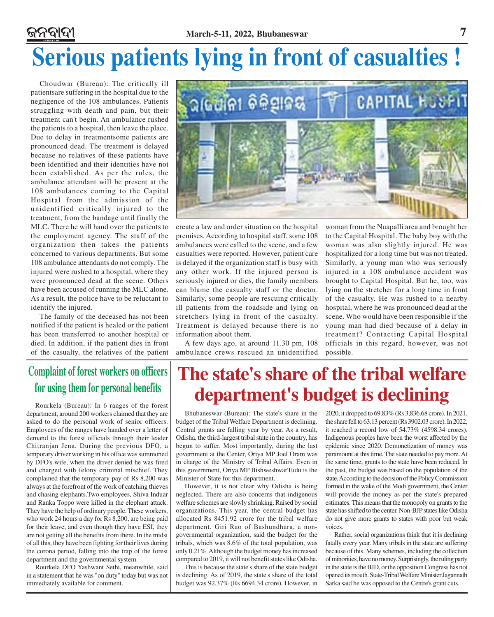### **March-5-11, 2022, Bhubaneswar 7** ଜନବାଦୀ **Serious patients lying in front of casualties !**

Choudwar (Bureau): The critically ill patientsare suffering in the hospital due to the negligence of the 108 ambulances. Patients struggling with death and pain, but their treatment can't begin. An ambulance rushed the patients to a hospital, then leave the place. Due to delay in treatmentsome patients are pronounced dead. The treatment is delayed because no relatives of these patients have been identified and their identities have not been established. As per the rules, the ambulance attendant will be present at the 108 ambulances coming to the Capital Hospital from the admission of the unidentified critically injured to the treatment, from the bandage until finally the MLC. There he will hand over the patients to the employment agency. The staff of the organization then takes the patients concerned to various departments. But some 108 ambulance attendants do not comply. The injured were rushed to a hospital, where they were pronounced dead at the scene. Others have been accused of running the MLC alone. As a result, the police have to be reluctant to identify the injured.

The family of the deceased has not been notified if the patient is healed or the patient has been transferred to another hospital or died. In addition, if the patient dies in front of the casualty, the relatives of the patient



create a law and order situation on the hospital premises. According to hospital staff, some 108 ambulances were called to the scene, and a few casualties were reported. However, patient care is delayed if the organization staff is busy with any other work. If the injured person is seriously injured or dies, the family members can blame the casualty staff or the doctor. Similarly, some people are rescuing critically ill patients from the roadside and lying on stretchers lying in front of the casualty. Treatment is delayed because there is no information about them.

A few days ago, at around 11.30 pm, 108 ambulance crews rescued an unidentified

woman from the Nuapalli area and brought her to the Capital Hospital. The baby boy with the woman was also slightly injured. He was hospitalized for a long time but was not treated. Similarly, a young man who was seriously injured in a 108 ambulance accident was brought to Capital Hospital. But he, too, was lying on the stretcher for a long time in front of the casualty. He was rushed to a nearby hospital, where he was pronounced dead at the scene. Who would have been responsible if the young man had died because of a delay in treatment? Contacting Capital Hospital officials in this regard, however, was not possible.

### **Complaint of forest workers on officers for using them for personal benefits**

Rourkela (Bureau): In 6 ranges of the forest department, around 200 workers claimed that they are asked to do the personal work of senior officers. Employees of the ranges have handed over a letter of demand to the forest officials through their leader Chitranjan Jena. During the previous DFO, a temporary driver working in his office was summoned by DFO's wife, when the driver denied he was fired and charged with felony criminal mischief. They complained that the temporary pay of Rs 8,200 was always at the forefront of the work of catching thieves and chasing elephants.Two employees, Shiva Induar and Ranka Toppo were killed in the elephant attack. They have the help of ordinary people. These workers, who work 24 hours a day for Rs 8,200, are being paid for their leave, and even though they have ESI, they are not getting all the benefits from there. In the midst of all this, they have been fighting for their lives during the corona period, falling into the trap of the forest department and the governmental system.

Rourkela DFO Yashwant Sethi, meanwhile, said in a statement that he was "on duty" today but was not immediately available for comment.

## **The state's share of the tribal welfare department's budget is declining**

Bhubaneswar (Bureau): The state's share in the budget of the Tribal Welfare Department is declining. Central grants are falling year by year. As a result, Odisha, the third-largest tribal state in the country, has begun to suffer. Most importantly, during the last government at the Center, Oriya MP Joel Oram was in charge of the Ministry of Tribal Affairs. Even in this government, Oriya MP BishweshwarTudu is the Minister of State for this department.

However, it is not clear why Odisha is being neglected. There are also concerns that indigenous welfare schemes are slowly shrinking. Raised by social organizations. This year, the central budget has allocated Rs 8451.92 crore for the tribal welfare department. Giri Rao of Bashundhara, a nongovernmental organization, said the budget for the tribals, which was 8.6% of the total population, was only 0.21%. Although the budget money has increased compared to 2019, it will not benefit states like Odisha.

This is because the state's share of the state budget is declining. As of 2019, the state's share of the total budget was 92.37% (Rs 6694.34 crore). However, in

2020, it dropped to 69.83% (Rs 3,836.68 crore). In 2021, the share fell to 63.13 percent (Rs 3902.03 crore). In 2022, it reached a record low of 54.73% (4598.34 crores). Indigenous peoples have been the worst affected by the epidemic since 2020. Demonetization of money was paramount at this time. The state needed to pay more. At the same time, grants to the state have been reduced. In the past, the budget was based on the population of the state. According to the decision of the Policy Commission formed in the wake of the Modi government, the Center will provide the money as per the state's prepared estimates. This means that the monopoly on grants to the state has shifted to the center. Non-BJP states like Odisha do not give more grants to states with poor but weak voices.

Rather, social organizations think that it is declining fatally every year. Many tribals in the state are suffering because of this. Many schemes, including the collection of minorities, have no money. Surprisingly, the ruling party in the state is the BJD, or the opposition Congress has not opened its mouth. State-Tribal Welfare Minister Jagannath Sarka said he was opposed to the Centre's grant cuts.